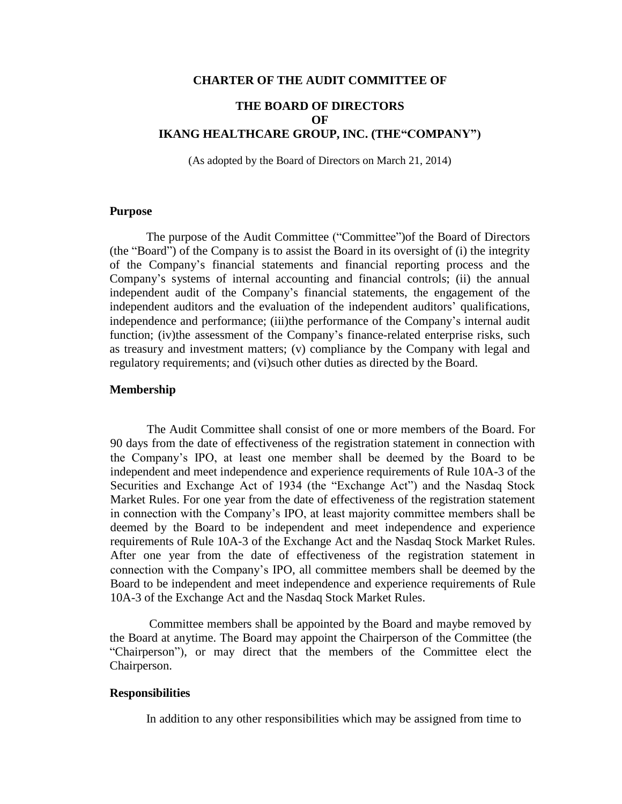#### **CHARTER OF THE AUDIT COMMITTEE OF**

# **THE BOARD OF DIRECTORS OF IKANG HEALTHCARE GROUP, INC. (THE"COMPANY")**

(As adopted by the Board of Directors on March 21, 2014)

### **Purpose**

The purpose of the Audit Committee ("Committee")of the Board of Directors (the "Board") of the Company is to assist the Board in its oversight of (i) the integrity of the Company's financial statements and financial reporting process and the Company's systems of internal accounting and financial controls; (ii) the annual independent audit of the Company's financial statements, the engagement of the independent auditors and the evaluation of the independent auditors' qualifications, independence and performance; (iii)the performance of the Company's internal audit function; (iv)the assessment of the Company's finance-related enterprise risks, such as treasury and investment matters; (v) compliance by the Company with legal and regulatory requirements; and (vi)such other duties as directed by the Board.

#### **Membership**

The Audit Committee shall consist of one or more members of the Board. For 90 days from the date of effectiveness of the registration statement in connection with the Company's IPO, at least one member shall be deemed by the Board to be independent and meet independence and experience requirements of Rule 10A-3 of the Securities and Exchange Act of 1934 (the "Exchange Act") and the Nasdaq Stock Market Rules. For one year from the date of effectiveness of the registration statement in connection with the Company's IPO, at least majority committee members shall be deemed by the Board to be independent and meet independence and experience requirements of Rule 10A-3 of the Exchange Act and the Nasdaq Stock Market Rules. After one year from the date of effectiveness of the registration statement in connection with the Company's IPO, all committee members shall be deemed by the Board to be independent and meet independence and experience requirements of Rule 10A-3 of the Exchange Act and the Nasdaq Stock Market Rules.

Committee members shall be appointed by the Board and maybe removed by the Board at anytime. The Board may appoint the Chairperson of the Committee (the "Chairperson"), or may direct that the members of the Committee elect the Chairperson.

### **Responsibilities**

In addition to any other responsibilities which may be assigned from time to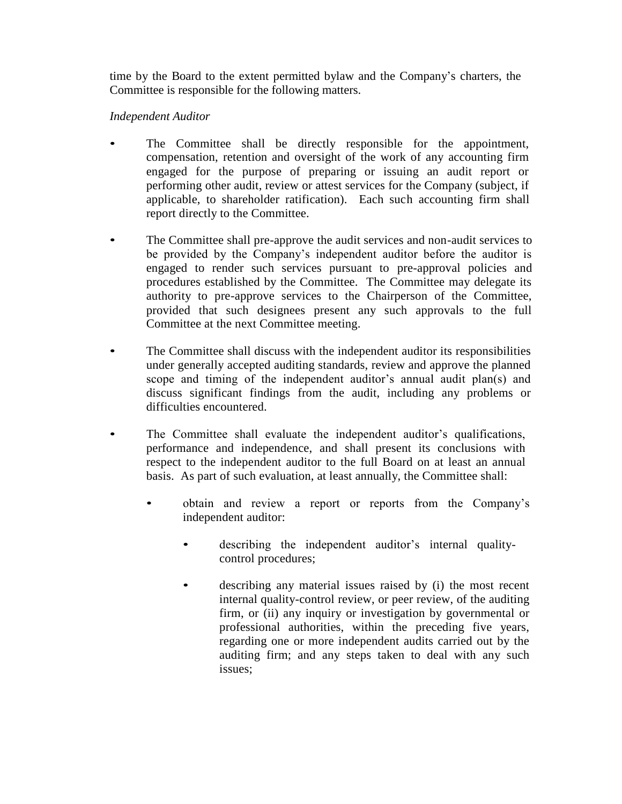time by the Board to the extent permitted bylaw and the Company's charters, the Committee is responsible for the following matters.

## *Independent Auditor*

- The Committee shall be directly responsible for the appointment, compensation, retention and oversight of the work of any accounting firm engaged for the purpose of preparing or issuing an audit report or performing other audit, review or attest services for the Company (subject, if applicable, to shareholder ratification). Each such accounting firm shall report directly to the Committee.
- The Committee shall pre-approve the audit services and non-audit services to be provided by the Company's independent auditor before the auditor is engaged to render such services pursuant to pre-approval policies and procedures established by the Committee. The Committee may delegate its authority to pre-approve services to the Chairperson of the Committee, provided that such designees present any such approvals to the full Committee at the next Committee meeting.
- The Committee shall discuss with the independent auditor its responsibilities under generally accepted auditing standards, review and approve the planned scope and timing of the independent auditor's annual audit plan(s) and discuss significant findings from the audit, including any problems or difficulties encountered.
- The Committee shall evaluate the independent auditor's qualifications, performance and independence, and shall present its conclusions with respect to the independent auditor to the full Board on at least an annual basis. As part of such evaluation, at least annually, the Committee shall:
	- obtain and review a report or reports from the Company's independent auditor:
		- describing the independent auditor's internal qualitycontrol procedures;
		- describing any material issues raised by (i) the most recent internal quality-control review, or peer review, of the auditing firm, or (ii) any inquiry or investigation by governmental or professional authorities, within the preceding five years, regarding one or more independent audits carried out by the auditing firm; and any steps taken to deal with any such issues;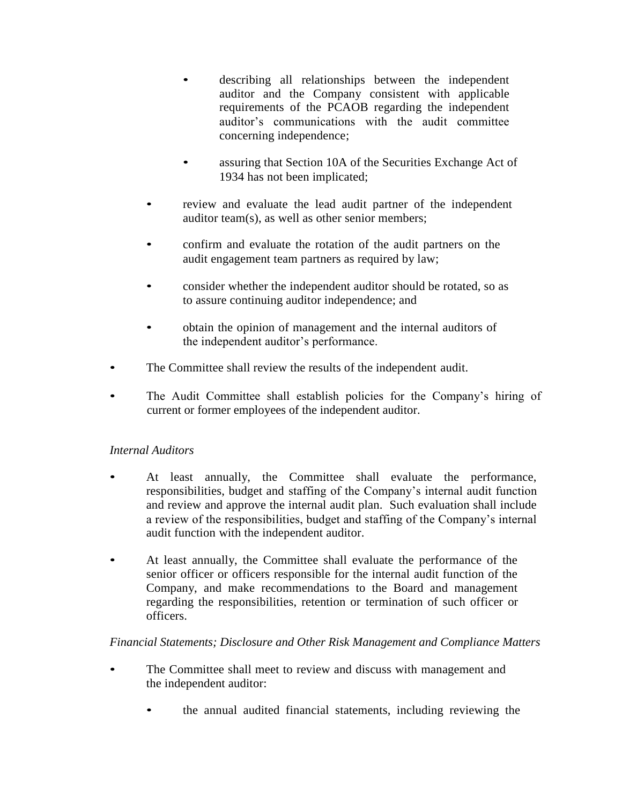- describing all relationships between the independent auditor and the Company consistent with applicable requirements of the PCAOB regarding the independent auditor's communications with the audit committee concerning independence;
- assuring that Section 10A of the Securities Exchange Act of 1934 has not been implicated;
- review and evaluate the lead audit partner of the independent auditor team(s), as well as other senior members;
- confirm and evaluate the rotation of the audit partners on the audit engagement team partners as required by law;
- consider whether the independent auditor should be rotated, so as to assure continuing auditor independence; and
- obtain the opinion of management and the internal auditors of the independent auditor's performance.
- The Committee shall review the results of the independent audit.
- The Audit Committee shall establish policies for the Company's hiring of current or former employees of the independent auditor.

# *Internal Auditors*

- At least annually, the Committee shall evaluate the performance, responsibilities, budget and staffing of the Company's internal audit function and review and approve the internal audit plan. Such evaluation shall include a review of the responsibilities, budget and staffing of the Company's internal audit function with the independent auditor.
- At least annually, the Committee shall evaluate the performance of the senior officer or officers responsible for the internal audit function of the Company, and make recommendations to the Board and management regarding the responsibilities, retention or termination of such officer or officers.

# *Financial Statements; Disclosure and Other Risk Management and Compliance Matters*

- The Committee shall meet to review and discuss with management and the independent auditor:
	- the annual audited financial statements, including reviewing the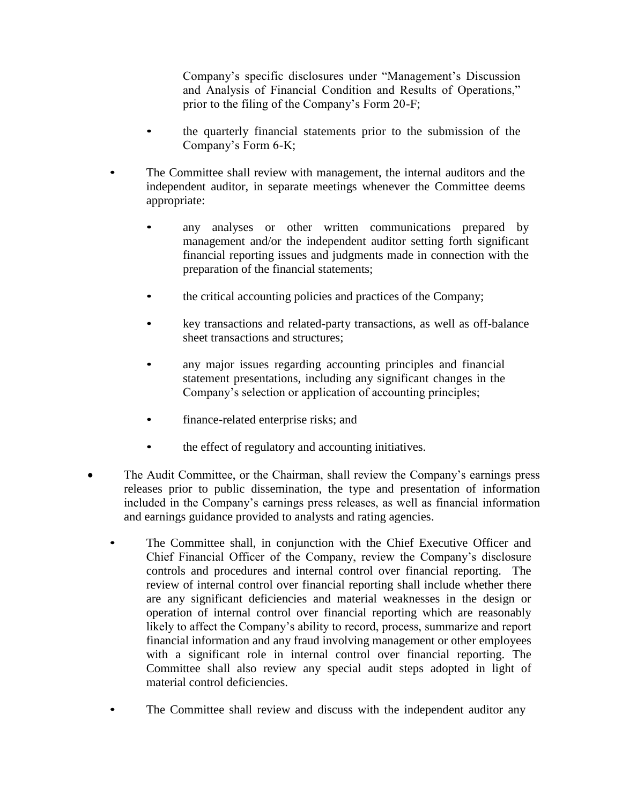Company's specific disclosures under "Management's Discussion and Analysis of Financial Condition and Results of Operations," prior to the filing of the Company's Form 20-F;

- the quarterly financial statements prior to the submission of the Company's Form 6-K;
- The Committee shall review with management, the internal auditors and the independent auditor, in separate meetings whenever the Committee deems appropriate:
	- any analyses or other written communications prepared by management and/or the independent auditor setting forth significant financial reporting issues and judgments made in connection with the preparation of the financial statements;
	- the critical accounting policies and practices of the Company;
	- key transactions and related-party transactions, as well as off-balance sheet transactions and structures;
	- any major issues regarding accounting principles and financial statement presentations, including any significant changes in the Company's selection or application of accounting principles;
	- finance-related enterprise risks; and
	- the effect of regulatory and accounting initiatives.
- The Audit Committee, or the Chairman, shall review the Company's earnings press releases prior to public dissemination, the type and presentation of information included in the Company's earnings press releases, as well as financial information and earnings guidance provided to analysts and rating agencies.
	- The Committee shall, in conjunction with the Chief Executive Officer and Chief Financial Officer of the Company, review the Company's disclosure controls and procedures and internal control over financial reporting. The review of internal control over financial reporting shall include whether there are any significant deficiencies and material weaknesses in the design or operation of internal control over financial reporting which are reasonably likely to affect the Company's ability to record, process, summarize and report financial information and any fraud involving management or other employees with a significant role in internal control over financial reporting. The Committee shall also review any special audit steps adopted in light of material control deficiencies.
	- The Committee shall review and discuss with the independent auditor any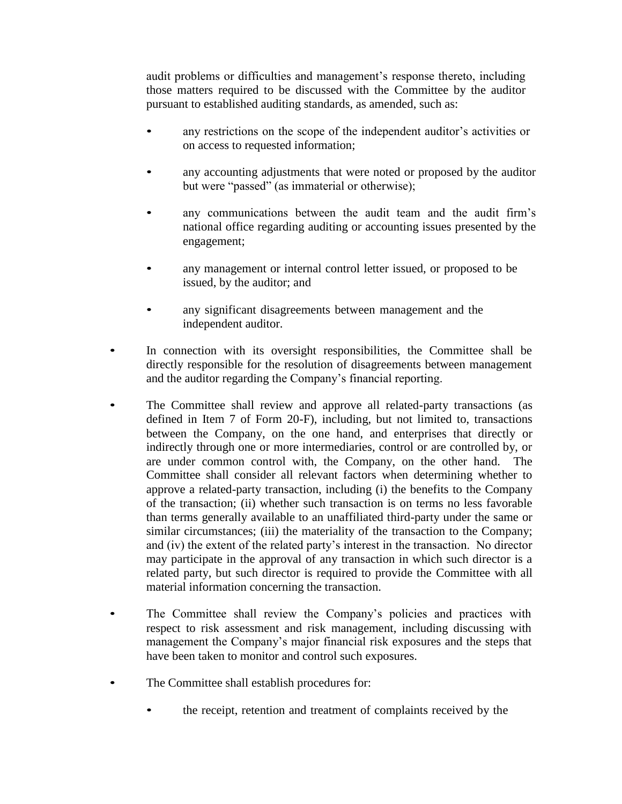audit problems or difficulties and management's response thereto, including those matters required to be discussed with the Committee by the auditor pursuant to established auditing standards, as amended, such as:

- any restrictions on the scope of the independent auditor's activities or on access to requested information;
- any accounting adjustments that were noted or proposed by the auditor but were "passed" (as immaterial or otherwise);
- any communications between the audit team and the audit firm's national office regarding auditing or accounting issues presented by the engagement;
- any management or internal control letter issued, or proposed to be issued, by the auditor; and
- any significant disagreements between management and the independent auditor.
- In connection with its oversight responsibilities, the Committee shall be directly responsible for the resolution of disagreements between management and the auditor regarding the Company's financial reporting.
- The Committee shall review and approve all related-party transactions (as defined in Item 7 of Form 20-F), including, but not limited to, transactions between the Company, on the one hand, and enterprises that directly or indirectly through one or more intermediaries, control or are controlled by, or are under common control with, the Company, on the other hand. The Committee shall consider all relevant factors when determining whether to approve a related-party transaction, including (i) the benefits to the Company of the transaction; (ii) whether such transaction is on terms no less favorable than terms generally available to an unaffiliated third-party under the same or similar circumstances; (iii) the materiality of the transaction to the Company; and (iv) the extent of the related party's interest in the transaction. No director may participate in the approval of any transaction in which such director is a related party, but such director is required to provide the Committee with all material information concerning the transaction.
- The Committee shall review the Company's policies and practices with respect to risk assessment and risk management, including discussing with management the Company's major financial risk exposures and the steps that have been taken to monitor and control such exposures.
- The Committee shall establish procedures for:
	- the receipt, retention and treatment of complaints received by the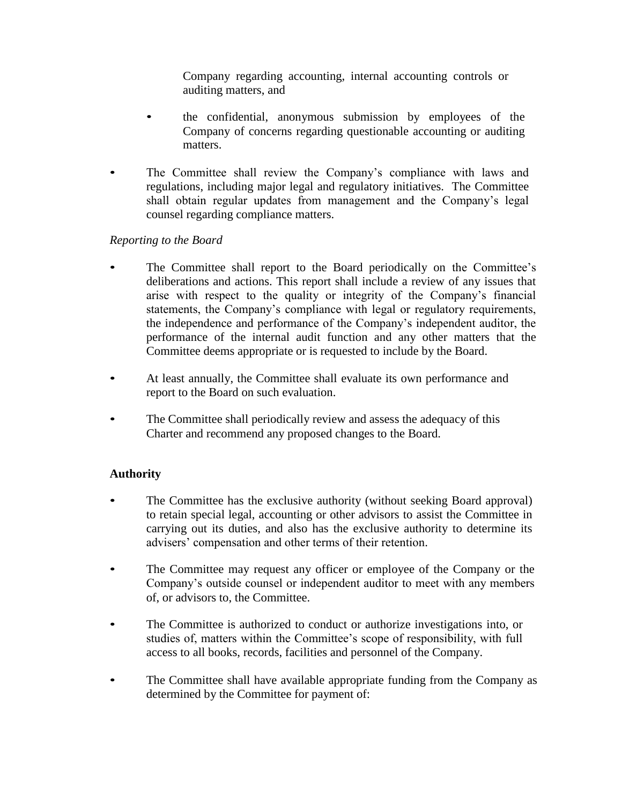Company regarding accounting, internal accounting controls or auditing matters, and

- the confidential, anonymous submission by employees of the Company of concerns regarding questionable accounting or auditing matters.
- The Committee shall review the Company's compliance with laws and regulations, including major legal and regulatory initiatives. The Committee shall obtain regular updates from management and the Company's legal counsel regarding compliance matters.

## *Reporting to the Board*

- The Committee shall report to the Board periodically on the Committee's deliberations and actions. This report shall include a review of any issues that arise with respect to the quality or integrity of the Company's financial statements, the Company's compliance with legal or regulatory requirements, the independence and performance of the Company's independent auditor, the performance of the internal audit function and any other matters that the Committee deems appropriate or is requested to include by the Board.
- At least annually, the Committee shall evaluate its own performance and report to the Board on such evaluation.
- The Committee shall periodically review and assess the adequacy of this Charter and recommend any proposed changes to the Board.

# **Authority**

- The Committee has the exclusive authority (without seeking Board approval) to retain special legal, accounting or other advisors to assist the Committee in carrying out its duties, and also has the exclusive authority to determine its advisers' compensation and other terms of their retention.
- The Committee may request any officer or employee of the Company or the Company's outside counsel or independent auditor to meet with any members of, or advisors to, the Committee.
- The Committee is authorized to conduct or authorize investigations into, or studies of, matters within the Committee's scope of responsibility, with full access to all books, records, facilities and personnel of the Company.
- The Committee shall have available appropriate funding from the Company as determined by the Committee for payment of: